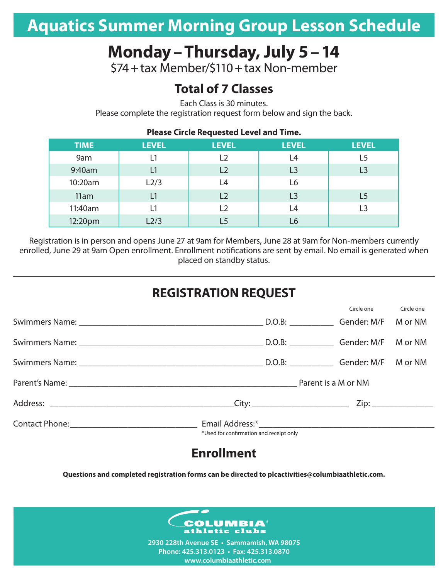# **Aquatics Summer Morning Group Lesson Schedule**

# **Monday–Thursday, July 5–14**

\$74+tax Member/\$110+tax Non-member

## **Total of 7 Classes**

Each Class is 30 minutes.

Please complete the registration request form below and sign the back.

| . .wave an are  queen _______ anna |              |                |                |                |  |  |  |
|------------------------------------|--------------|----------------|----------------|----------------|--|--|--|
| <b>TIME</b>                        | <b>LEVEL</b> | <b>LEVEL</b>   | <b>LEVEL</b>   | <b>LEVEL</b>   |  |  |  |
| 9am                                | L1           | L2             | L4             | L5             |  |  |  |
| 9:40am                             | L1           | L <sub>2</sub> | L <sub>3</sub> | L3             |  |  |  |
| 10:20am                            | L2/3         | L4             | L6             |                |  |  |  |
| 11am                               | L1           | L2             | L <sub>3</sub> | L5             |  |  |  |
| 11:40am                            | L1           | L2             | L4             | $\overline{3}$ |  |  |  |
| 12:20pm                            | L2/3         |                | L6             |                |  |  |  |

**Please Circle Requested Level and Time.**

Registration is in person and opens June 27 at 9am for Members, June 28 at 9am for Non-members currently enrolled, June 29 at 9am Open enrollment. Enrollment notifications are sent by email. No email is generated when placed on standby status.

## **REGISTRATION REQUEST**

Circle one Circle one

|                                                                                        | בוורוב חווב | כוורוב חווב |
|----------------------------------------------------------------------------------------|-------------|-------------|
|                                                                                        |             | M or NM     |
|                                                                                        |             |             |
|                                                                                        |             |             |
| Parent's Name: Department of NAM and Security Area of the Material Parent is a M or NM |             |             |
|                                                                                        |             |             |
| *Used for confirmation and receipt only                                                |             |             |

### **Enrollment**

**Questions and completed registration forms can be directed to plcactivities@columbiaathletic.com.**



**2930 228th Avenue SE • Sammamish, WA 98075 Phone: 425.313.0123 • Fax: 425.313.0870 www.columbiaathletic.com**